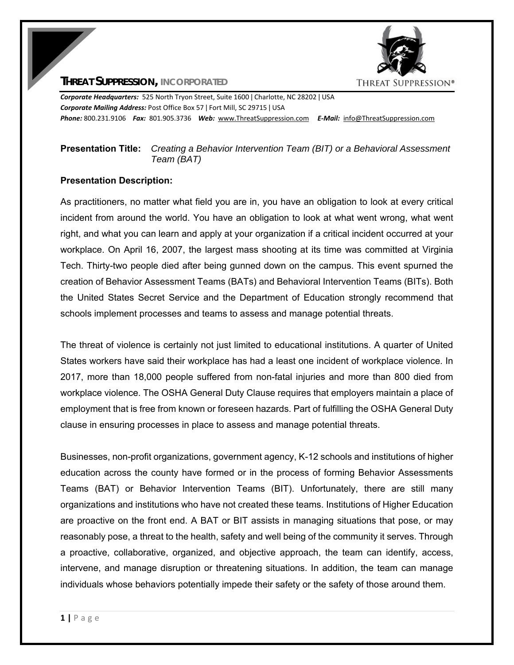# THREAT SUPPRESSION®

### **THREAT SUPPRESSION, INCORPORATED**

*Corporate Headquarters:* 525 North Tryon Street, Suite 1600 ǀ Charlotte, NC 28202 ǀ USA *Corporate Mailing Address:* Post Office Box 57 ǀ Fort Mill, SC 29715 ǀ USA *Phone:* 800.231.9106  *Fax:* 801.905.3736 *Web:* www.ThreatSuppression.com *E‐Mail:*  info@ThreatSuppression.com

# **Presentation Title:** *Creating a Behavior Intervention Team (BIT) or a Behavioral Assessment Team (BAT)*

### **Presentation Description:**

As practitioners, no matter what field you are in, you have an obligation to look at every critical incident from around the world. You have an obligation to look at what went wrong, what went right, and what you can learn and apply at your organization if a critical incident occurred at your workplace. On April 16, 2007, the largest mass shooting at its time was committed at Virginia Tech. Thirty-two people died after being gunned down on the campus. This event spurned the creation of Behavior Assessment Teams (BATs) and Behavioral Intervention Teams (BITs). Both the United States Secret Service and the Department of Education strongly recommend that schools implement processes and teams to assess and manage potential threats.

The threat of violence is certainly not just limited to educational institutions. A quarter of United States workers have said their workplace has had a least one incident of workplace violence. In 2017, more than 18,000 people suffered from non-fatal injuries and more than 800 died from workplace violence. The OSHA General Duty Clause requires that employers maintain a place of employment that is free from known or foreseen hazards. Part of fulfilling the OSHA General Duty clause in ensuring processes in place to assess and manage potential threats.

Businesses, non-profit organizations, government agency, K-12 schools and institutions of higher education across the county have formed or in the process of forming Behavior Assessments Teams (BAT) or Behavior Intervention Teams (BIT). Unfortunately, there are still many organizations and institutions who have not created these teams. Institutions of Higher Education are proactive on the front end. A BAT or BIT assists in managing situations that pose, or may reasonably pose, a threat to the health, safety and well being of the community it serves. Through a proactive, collaborative, organized, and objective approach, the team can identify, access, intervene, and manage disruption or threatening situations. In addition, the team can manage individuals whose behaviors potentially impede their safety or the safety of those around them.